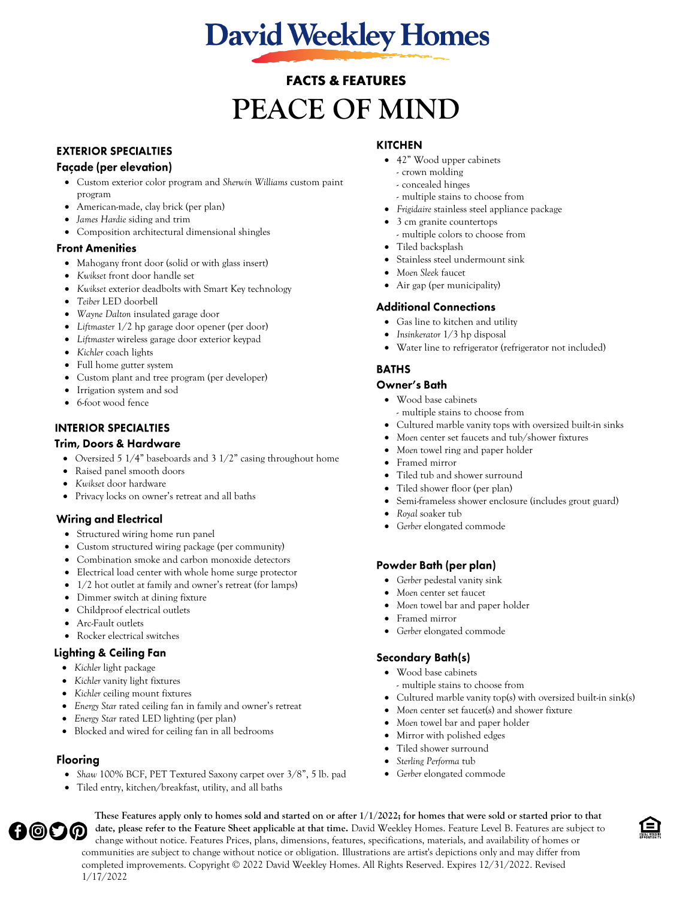# **David Weekley Homes**

# **FACTS & FEATURES PEACE OF MIND**

# **EXTERIOR SPECIALTIES**

# Façade (per elevation)

- Custom exterior color program and *Sherwin Williams* custom paint program
- American-made, clay brick (per plan)
- *James Hardie* siding and trim
- Composition architectural dimensional shingles

#### **Front Amenities**

- Mahogany front door (solid or with glass insert)
- *Kwikset* front door handle set
- *Kwikset* exterior deadbolts with Smart Key technology
- *Teiber* LED doorbell
- *Wayne Dalton* insulated garage door
- *Liftmaster* 1/2 hp garage door opener (per door)
- *Liftmaster* wireless garage door exterior keypad
- *Kichler* coach lights
- Full home gutter system
- Custom plant and tree program (per developer)
- Irrigation system and sod
- 6-foot wood fence

# **INTERIOR SPECIALTIES**

#### **Trim, Doors & Hardware**

- Oversized 5 1/4" baseboards and 3 1/2" casing throughout home
- Raised panel smooth doors
- *Kwikset* door hardware
- Privacy locks on owner's retreat and all baths

## **Wiring and Electrical**

- Structured wiring home run panel
- Custom structured wiring package (per community)
- Combination smoke and carbon monoxide detectors
- Electrical load center with whole home surge protector
- 1/2 hot outlet at family and owner's retreat (for lamps)
- Dimmer switch at dining fixture
- Childproof electrical outlets
- Arc-Fault outlets

# • Rocker electrical switches

#### **Lighting & Ceiling Fan**

- *Kichler* light package
- *Kichler* vanity light fixtures
- *Kichler* ceiling mount fixtures
- *Energy Star* rated ceiling fan in family and owner's retreat
- *Energy Star* rated LED lighting (per plan)
- Blocked and wired for ceiling fan in all bedrooms

## **Flooring**

- *Shaw* 100% BCF, PET Textured Saxony carpet over 3/8", 5 lb. pad
- Tiled entry, kitchen/breakfast, utility, and all baths

# **KITCHEN**

- 42" Wood upper cabinets
	- crown molding
	- concealed hinges
	- multiple stains to choose from
- *Frigidaire* stainless steel appliance package
- 3 cm granite countertops - multiple colors to choose from
- Tiled backsplash
- Stainless steel undermount sink
- *Moen Sleek* faucet
- Air gap (per municipality)

# **Additional Connections**

- Gas line to kitchen and utility
- *Insinkerator* 1/3 hp disposal
- Water line to refrigerator (refrigerator not included)

# **BATHS**

## Owner's Bath

- Wood base cabinets - multiple stains to choose from
- Cultured marble vanity tops with oversized built-in sinks
- *Moen* center set faucets and tub/shower fixtures
- *Moen* towel ring and paper holder
- Framed mirror
- Tiled tub and shower surround
- Tiled shower floor (per plan)
- Semi-frameless shower enclosure (includes grout guard)
- *Royal* soaker tub
- *Gerber* elongated commode

## Powder Bath (per plan)

- *Gerber* pedestal vanity sink
- *Moen* center set faucet
- *Moen* towel bar and paper holder
- Framed mirror
- *Gerber* elongated commode

## **Secondary Bath(s)**

- Wood base cabinets
	- multiple stains to choose from
- Cultured marble vanity top(s) with oversized built-in sink(s)
- *Moen* center set faucet(s) and shower fixture
- *Moen* towel bar and paper holder
- Mirror with polished edges
- Tiled shower surround
- *Sterling Performa* tub
- *Gerber* elongated commode

 **These Features apply only to homes sold and started on or after 1/1/2022; for homes that were sold or started prior to that A©OO date, please refer to the Feature Sheet applicable at that time.** David Weekley Homes. Feature Level B. Features are subject to change without notice. Features Prices, plans, dimensions, features, specifications, materials, and availability of homes or communities are subject to change without notice or obligation. Illustrations are artist's depictions only and may differ from completed improvements. Copyright © 2022 David Weekley Homes. All Rights Reserved. Expires 12/31/2022. Revised 1/17/2022